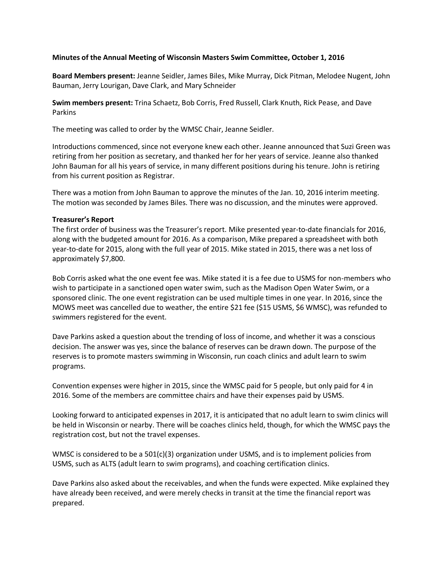# **Minutes of the Annual Meeting of Wisconsin Masters Swim Committee, October 1, 2016**

**Board Members present:** Jeanne Seidler, James Biles, Mike Murray, Dick Pitman, Melodee Nugent, John Bauman, Jerry Lourigan, Dave Clark, and Mary Schneider

**Swim members present:** Trina Schaetz, Bob Corris, Fred Russell, Clark Knuth, Rick Pease, and Dave Parkins

The meeting was called to order by the WMSC Chair, Jeanne Seidler.

Introductions commenced, since not everyone knew each other. Jeanne announced that Suzi Green was retiring from her position as secretary, and thanked her for her years of service. Jeanne also thanked John Bauman for all his years of service, in many different positions during his tenure. John is retiring from his current position as Registrar.

There was a motion from John Bauman to approve the minutes of the Jan. 10, 2016 interim meeting. The motion was seconded by James Biles. There was no discussion, and the minutes were approved.

### **Treasurer's Report**

The first order of business was the Treasurer's report. Mike presented year-to-date financials for 2016, along with the budgeted amount for 2016. As a comparison, Mike prepared a spreadsheet with both year-to-date for 2015, along with the full year of 2015. Mike stated in 2015, there was a net loss of approximately \$7,800.

Bob Corris asked what the one event fee was. Mike stated it is a fee due to USMS for non-members who wish to participate in a sanctioned open water swim, such as the Madison Open Water Swim, or a sponsored clinic. The one event registration can be used multiple times in one year. In 2016, since the MOWS meet was cancelled due to weather, the entire \$21 fee (\$15 USMS, \$6 WMSC), was refunded to swimmers registered for the event.

Dave Parkins asked a question about the trending of loss of income, and whether it was a conscious decision. The answer was yes, since the balance of reserves can be drawn down. The purpose of the reserves is to promote masters swimming in Wisconsin, run coach clinics and adult learn to swim programs.

Convention expenses were higher in 2015, since the WMSC paid for 5 people, but only paid for 4 in 2016. Some of the members are committee chairs and have their expenses paid by USMS.

Looking forward to anticipated expenses in 2017, it is anticipated that no adult learn to swim clinics will be held in Wisconsin or nearby. There will be coaches clinics held, though, for which the WMSC pays the registration cost, but not the travel expenses.

WMSC is considered to be a  $501(c)(3)$  organization under USMS, and is to implement policies from USMS, such as ALTS (adult learn to swim programs), and coaching certification clinics.

Dave Parkins also asked about the receivables, and when the funds were expected. Mike explained they have already been received, and were merely checks in transit at the time the financial report was prepared.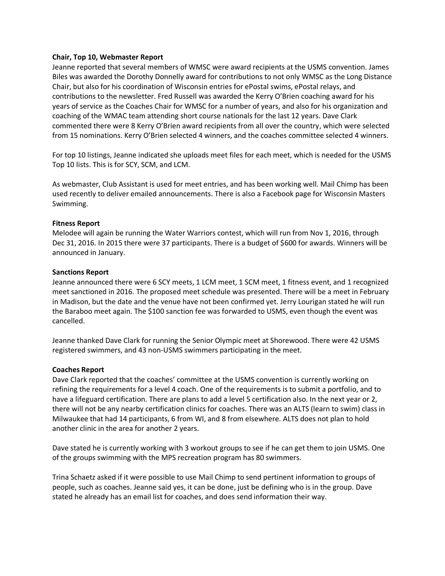## **Chair, Top 10, Webmaster Report**

Jeanne reported that several members of WMSC were award recipients at the USMS convention. James Biles was awarded the Dorothy Donnelly award for contributions to not only WMSC as the Long Distance Chair, but also for his coordination of Wisconsin entries for ePostal swims, ePostal relays, and contributions to the newsletter. Fred Russell was awarded the Kerry O'Brien coaching award for his years of service as the Coaches Chair for WMSC for a number of years, and also for his organization and coaching of the WMAC team attending short course nationals for the last 12 years. Dave Clark commented there were 8 Kerry O'Brien award recipients from all over the country, which were selected from 15 nominations. Kerry O'Brien selected 4 winners, and the coaches committee selected 4 winners.

For top 10 listings, Jeanne indicated she uploads meet files for each meet, which is needed for the USMS Top 10 lists. This is for SCY, SCM, and LCM.

As webmaster, Club Assistant is used for meet entries, and has been working well. Mail Chimp has been used recently to deliver emailed announcements. There is also a Facebook page for Wisconsin Masters Swimming.

# **Fitness Report**

Melodee will again be running the Water Warriors contest, which will run from Nov 1, 2016, through Dec 31, 2016. In 2015 there were 37 participants. There is a budget of \$600 for awards. Winners will be announced in January.

# **Sanctions Report**

Jeanne announced there were 6 SCY meets, 1 LCM meet, 1 SCM meet, 1 fitness event, and 1 recognized meet sanctioned in 2016. The proposed meet schedule was presented. There will be a meet in February in Madison, but the date and the venue have not been confirmed yet. Jerry Lourigan stated he will run the Baraboo meet again. The \$100 sanction fee was forwarded to USMS, even though the event was cancelled.

Jeanne thanked Dave Clark for running the Senior Olympic meet at Shorewood. There were 42 USMS registered swimmers, and 43 non-USMS swimmers participating in the meet.

# **Coaches Report**

Dave Clark reported that the coaches' committee at the USMS convention is currently working on refining the requirements for a level 4 coach. One of the requirements is to submit a portfolio, and to have a lifeguard certification. There are plans to add a level 5 certification also. In the next year or 2, there will not be any nearby certification clinics for coaches. There was an ALTS (learn to swim) class in Milwaukee that had 14 participants, 6 from WI, and 8 from elsewhere. ALTS does not plan to hold another clinic in the area for another 2 years.

Dave stated he is currently working with 3 workout groups to see if he can get them to join USMS. One of the groups swimming with the MPS recreation program has 80 swimmers.

Trina Schaetz asked if it were possible to use Mail Chimp to send pertinent information to groups of people, such as coaches. Jeanne said yes, it can be done, just be defining who is in the group. Dave stated he already has an email list for coaches, and does send information their way.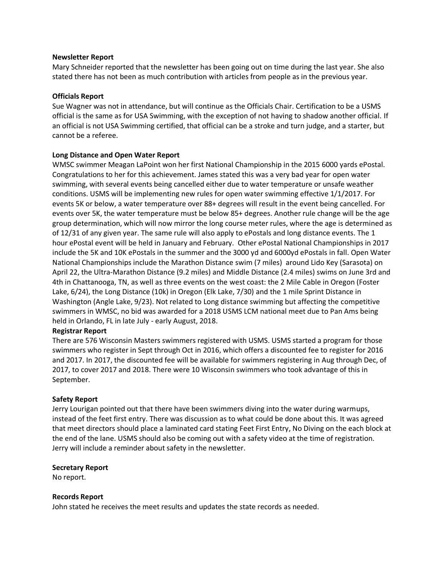## **Newsletter Report**

Mary Schneider reported that the newsletter has been going out on time during the last year. She also stated there has not been as much contribution with articles from people as in the previous year.

# **Officials Report**

Sue Wagner was not in attendance, but will continue as the Officials Chair. Certification to be a USMS official is the same as for USA Swimming, with the exception of not having to shadow another official. If an official is not USA Swimming certified, that official can be a stroke and turn judge, and a starter, but cannot be a referee.

# **Long Distance and Open Water Report**

WMSC swimmer Meagan LaPoint won her first National Championship in the 2015 6000 yards ePostal. Congratulations to her for this achievement. James stated this was a very bad year for open water swimming, with several events being cancelled either due to water temperature or unsafe weather conditions. USMS will be implementing new rules for open water swimming effective 1/1/2017. For events 5K or below, a water temperature over 88+ degrees will result in the event being cancelled. For events over 5K, the water temperature must be below 85+ degrees. Another rule change will be the age group determination, which will now mirror the long course meter rules, where the age is determined as of 12/31 of any given year. The same rule will also apply to ePostals and long distance events. The 1 hour ePostal event will be held in January and February. Other ePostal National Championships in 2017 include the 5K and 10K ePostals in the summer and the 3000 yd and 6000yd ePostals in fall. Open Water National Championships include the Marathon Distance swim (7 miles) around Lido Key (Sarasota) on April 22, the Ultra-Marathon Distance (9.2 miles) and Middle Distance (2.4 miles) swims on June 3rd and 4th in Chattanooga, TN, as well as three events on the west coast: the 2 Mile Cable in Oregon (Foster Lake, 6/24), the Long Distance (10k) in Oregon (Elk Lake, 7/30) and the 1 mile Sprint Distance in Washington (Angle Lake, 9/23). Not related to Long distance swimming but affecting the competitive swimmers in WMSC, no bid was awarded for a 2018 USMS LCM national meet due to Pan Ams being held in Orlando, FL in late July - early August, 2018.

# **Registrar Report**

There are 576 Wisconsin Masters swimmers registered with USMS. USMS started a program for those swimmers who register in Sept through Oct in 2016, which offers a discounted fee to register for 2016 and 2017. In 2017, the discounted fee will be available for swimmers registering in Aug through Dec, of 2017, to cover 2017 and 2018. There were 10 Wisconsin swimmers who took advantage of this in September.

### **Safety Report**

Jerry Lourigan pointed out that there have been swimmers diving into the water during warmups, instead of the feet first entry. There was discussion as to what could be done about this. It was agreed that meet directors should place a laminated card stating Feet First Entry, No Diving on the each block at the end of the lane. USMS should also be coming out with a safety video at the time of registration. Jerry will include a reminder about safety in the newsletter.

### **Secretary Report**

No report.

### **Records Report**

John stated he receives the meet results and updates the state records as needed.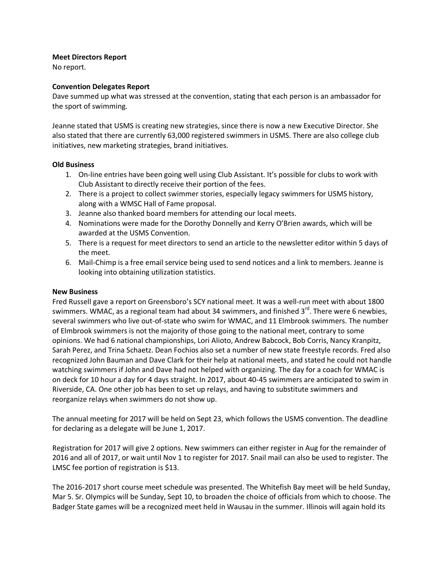# **Meet Directors Report**

No report.

# **Convention Delegates Report**

Dave summed up what was stressed at the convention, stating that each person is an ambassador for the sport of swimming.

Jeanne stated that USMS is creating new strategies, since there is now a new Executive Director. She also stated that there are currently 63,000 registered swimmers in USMS. There are also college club initiatives, new marketing strategies, brand initiatives.

# **Old Business**

- 1. On-line entries have been going well using Club Assistant. It's possible for clubs to work with Club Assistant to directly receive their portion of the fees.
- 2. There is a project to collect swimmer stories, especially legacy swimmers for USMS history, along with a WMSC Hall of Fame proposal.
- 3. Jeanne also thanked board members for attending our local meets.
- 4. Nominations were made for the Dorothy Donnelly and Kerry O'Brien awards, which will be awarded at the USMS Convention.
- 5. There is a request for meet directors to send an article to the newsletter editor within 5 days of the meet.
- 6. Mail-Chimp is a free email service being used to send notices and a link to members. Jeanne is looking into obtaining utilization statistics.

# **New Business**

Fred Russell gave a report on Greensboro's SCY national meet. It was a well-run meet with about 1800 swimmers. WMAC, as a regional team had about 34 swimmers, and finished  $3^{rd}$ . There were 6 newbies, several swimmers who live out-of-state who swim for WMAC, and 11 Elmbrook swimmers. The number of Elmbrook swimmers is not the majority of those going to the national meet, contrary to some opinions. We had 6 national championships, Lori Alioto, Andrew Babcock, Bob Corris, Nancy Kranpitz, Sarah Perez, and Trina Schaetz. Dean Fochios also set a number of new state freestyle records. Fred also recognized John Bauman and Dave Clark for their help at national meets, and stated he could not handle watching swimmers if John and Dave had not helped with organizing. The day for a coach for WMAC is on deck for 10 hour a day for 4 days straight. In 2017, about 40-45 swimmers are anticipated to swim in Riverside, CA. One other job has been to set up relays, and having to substitute swimmers and reorganize relays when swimmers do not show up.

The annual meeting for 2017 will be held on Sept 23, which follows the USMS convention. The deadline for declaring as a delegate will be June 1, 2017.

Registration for 2017 will give 2 options. New swimmers can either register in Aug for the remainder of 2016 and all of 2017, or wait until Nov 1 to register for 2017. Snail mail can also be used to register. The LMSC fee portion of registration is \$13.

The 2016-2017 short course meet schedule was presented. The Whitefish Bay meet will be held Sunday, Mar 5. Sr. Olympics will be Sunday, Sept 10, to broaden the choice of officials from which to choose. The Badger State games will be a recognized meet held in Wausau in the summer. Illinois will again hold its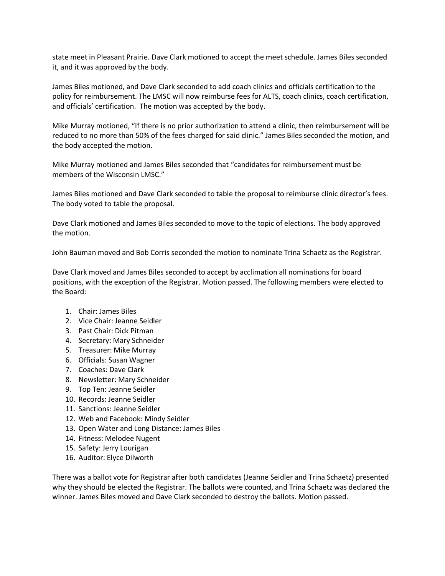state meet in Pleasant Prairie. Dave Clark motioned to accept the meet schedule. James Biles seconded it, and it was approved by the body.

James Biles motioned, and Dave Clark seconded to add coach clinics and officials certification to the policy for reimbursement. The LMSC will now reimburse fees for ALTS, coach clinics, coach certification, and officials' certification. The motion was accepted by the body.

Mike Murray motioned, "If there is no prior authorization to attend a clinic, then reimbursement will be reduced to no more than 50% of the fees charged for said clinic." James Biles seconded the motion, and the body accepted the motion.

Mike Murray motioned and James Biles seconded that "candidates for reimbursement must be members of the Wisconsin LMSC."

James Biles motioned and Dave Clark seconded to table the proposal to reimburse clinic director's fees. The body voted to table the proposal.

Dave Clark motioned and James Biles seconded to move to the topic of elections. The body approved the motion.

John Bauman moved and Bob Corris seconded the motion to nominate Trina Schaetz as the Registrar.

Dave Clark moved and James Biles seconded to accept by acclimation all nominations for board positions, with the exception of the Registrar. Motion passed. The following members were elected to the Board:

- 1. Chair: James Biles
- 2. Vice Chair: Jeanne Seidler
- 3. Past Chair: Dick Pitman
- 4. Secretary: Mary Schneider
- 5. Treasurer: Mike Murray
- 6. Officials: Susan Wagner
- 7. Coaches: Dave Clark
- 8. Newsletter: Mary Schneider
- 9. Top Ten: Jeanne Seidler
- 10. Records: Jeanne Seidler
- 11. Sanctions: Jeanne Seidler
- 12. Web and Facebook: Mindy Seidler
- 13. Open Water and Long Distance: James Biles
- 14. Fitness: Melodee Nugent
- 15. Safety: Jerry Lourigan
- 16. Auditor: Elyce Dilworth

There was a ballot vote for Registrar after both candidates (Jeanne Seidler and Trina Schaetz) presented why they should be elected the Registrar. The ballots were counted, and Trina Schaetz was declared the winner. James Biles moved and Dave Clark seconded to destroy the ballots. Motion passed.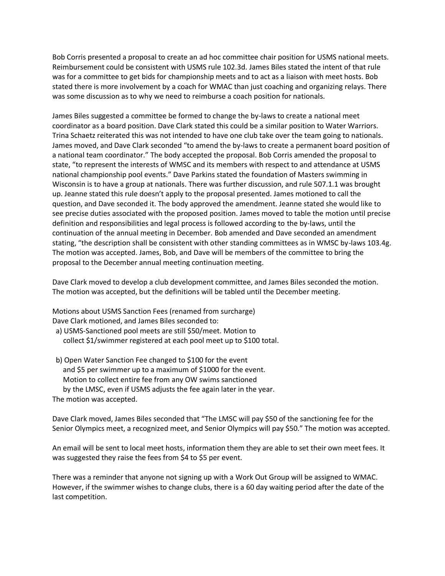Bob Corris presented a proposal to create an ad hoc committee chair position for USMS national meets. Reimbursement could be consistent with USMS rule 102.3d. James Biles stated the intent of that rule was for a committee to get bids for championship meets and to act as a liaison with meet hosts. Bob stated there is more involvement by a coach for WMAC than just coaching and organizing relays. There was some discussion as to why we need to reimburse a coach position for nationals.

James Biles suggested a committee be formed to change the by-laws to create a national meet coordinator as a board position. Dave Clark stated this could be a similar position to Water Warriors. Trina Schaetz reiterated this was not intended to have one club take over the team going to nationals. James moved, and Dave Clark seconded "to amend the by-laws to create a permanent board position of a national team coordinator." The body accepted the proposal. Bob Corris amended the proposal to state, "to represent the interests of WMSC and its members with respect to and attendance at USMS national championship pool events." Dave Parkins stated the foundation of Masters swimming in Wisconsin is to have a group at nationals. There was further discussion, and rule 507.1.1 was brought up. Jeanne stated this rule doesn't apply to the proposal presented. James motioned to call the question, and Dave seconded it. The body approved the amendment. Jeanne stated she would like to see precise duties associated with the proposed position. James moved to table the motion until precise definition and responsibilities and legal process is followed according to the by-laws, until the continuation of the annual meeting in December. Bob amended and Dave seconded an amendment stating, "the description shall be consistent with other standing committees as in WMSC by-laws 103.4g. The motion was accepted. James, Bob, and Dave will be members of the committee to bring the proposal to the December annual meeting continuation meeting.

Dave Clark moved to develop a club development committee, and James Biles seconded the motion. The motion was accepted, but the definitions will be tabled until the December meeting.

Motions about USMS Sanction Fees (renamed from surcharge) Dave Clark motioned, and James Biles seconded to:

- a) USMS-Sanctioned pool meets are still \$50/meet. Motion to collect \$1/swimmer registered at each pool meet up to \$100 total.
- b) Open Water Sanction Fee changed to \$100 for the event and \$5 per swimmer up to a maximum of \$1000 for the event. Motion to collect entire fee from any OW swims sanctioned by the LMSC, even if USMS adjusts the fee again later in the year. The motion was accepted.

Dave Clark moved, James Biles seconded that "The LMSC will pay \$50 of the sanctioning fee for the Senior Olympics meet, a recognized meet, and Senior Olympics will pay \$50." The motion was accepted.

An email will be sent to local meet hosts, information them they are able to set their own meet fees. It was suggested they raise the fees from \$4 to \$5 per event.

There was a reminder that anyone not signing up with a Work Out Group will be assigned to WMAC. However, if the swimmer wishes to change clubs, there is a 60 day waiting period after the date of the last competition.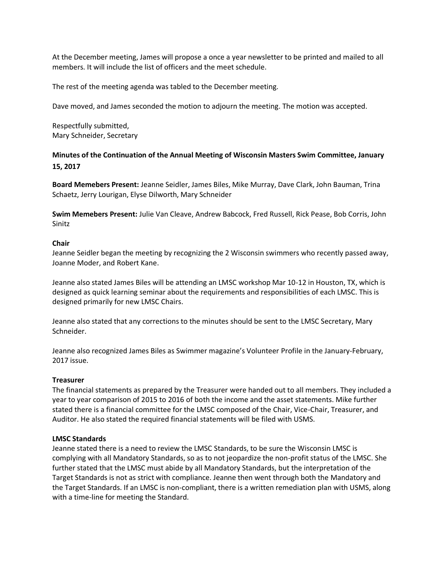At the December meeting, James will propose a once a year newsletter to be printed and mailed to all members. It will include the list of officers and the meet schedule.

The rest of the meeting agenda was tabled to the December meeting.

Dave moved, and James seconded the motion to adjourn the meeting. The motion was accepted.

Respectfully submitted, Mary Schneider, Secretary

**Minutes of the Continuation of the Annual Meeting of Wisconsin Masters Swim Committee, January 15, 2017**

**Board Memebers Present:** Jeanne Seidler, James Biles, Mike Murray, Dave Clark, John Bauman, Trina Schaetz, Jerry Lourigan, Elyse Dilworth, Mary Schneider

**Swim Memebers Present:** Julie Van Cleave, Andrew Babcock, Fred Russell, Rick Pease, Bob Corris, John Sinitz

### **Chair**

Jeanne Seidler began the meeting by recognizing the 2 Wisconsin swimmers who recently passed away, Joanne Moder, and Robert Kane.

Jeanne also stated James Biles will be attending an LMSC workshop Mar 10-12 in Houston, TX, which is designed as quick learning seminar about the requirements and responsibilities of each LMSC. This is designed primarily for new LMSC Chairs.

Jeanne also stated that any corrections to the minutes should be sent to the LMSC Secretary, Mary Schneider.

Jeanne also recognized James Biles as Swimmer magazine's Volunteer Profile in the January-February, 2017 issue.

### **Treasurer**

The financial statements as prepared by the Treasurer were handed out to all members. They included a year to year comparison of 2015 to 2016 of both the income and the asset statements. Mike further stated there is a financial committee for the LMSC composed of the Chair, Vice-Chair, Treasurer, and Auditor. He also stated the required financial statements will be filed with USMS.

### **LMSC Standards**

Jeanne stated there is a need to review the LMSC Standards, to be sure the Wisconsin LMSC is complying with all Mandatory Standards, so as to not jeopardize the non-profit status of the LMSC. She further stated that the LMSC must abide by all Mandatory Standards, but the interpretation of the Target Standards is not as strict with compliance. Jeanne then went through both the Mandatory and the Target Standards. If an LMSC is non-compliant, there is a written remediation plan with USMS, along with a time-line for meeting the Standard.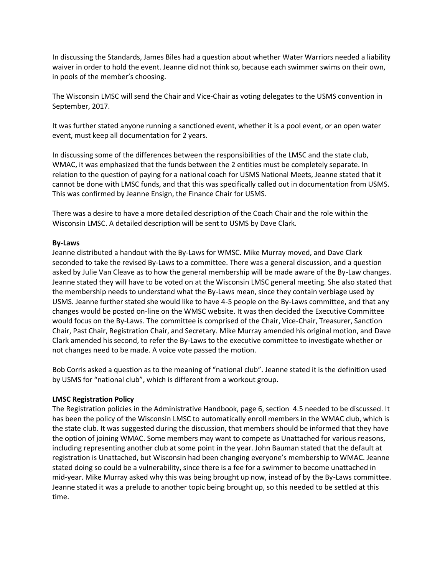In discussing the Standards, James Biles had a question about whether Water Warriors needed a liability waiver in order to hold the event. Jeanne did not think so, because each swimmer swims on their own, in pools of the member's choosing.

The Wisconsin LMSC will send the Chair and Vice-Chair as voting delegates to the USMS convention in September, 2017.

It was further stated anyone running a sanctioned event, whether it is a pool event, or an open water event, must keep all documentation for 2 years.

In discussing some of the differences between the responsibilities of the LMSC and the state club, WMAC, it was emphasized that the funds between the 2 entities must be completely separate. In relation to the question of paying for a national coach for USMS National Meets, Jeanne stated that it cannot be done with LMSC funds, and that this was specifically called out in documentation from USMS. This was confirmed by Jeanne Ensign, the Finance Chair for USMS.

There was a desire to have a more detailed description of the Coach Chair and the role within the Wisconsin LMSC. A detailed description will be sent to USMS by Dave Clark.

# **By-Laws**

Jeanne distributed a handout with the By-Laws for WMSC. Mike Murray moved, and Dave Clark seconded to take the revised By-Laws to a committee. There was a general discussion, and a question asked by Julie Van Cleave as to how the general membership will be made aware of the By-Law changes. Jeanne stated they will have to be voted on at the Wisconsin LMSC general meeting. She also stated that the membership needs to understand what the By-Laws mean, since they contain verbiage used by USMS. Jeanne further stated she would like to have 4-5 people on the By-Laws committee, and that any changes would be posted on-line on the WMSC website. It was then decided the Executive Committee would focus on the By-Laws. The committee is comprised of the Chair, Vice-Chair, Treasurer, Sanction Chair, Past Chair, Registration Chair, and Secretary. Mike Murray amended his original motion, and Dave Clark amended his second, to refer the By-Laws to the executive committee to investigate whether or not changes need to be made. A voice vote passed the motion.

Bob Corris asked a question as to the meaning of "national club". Jeanne stated it is the definition used by USMS for "national club", which is different from a workout group.

# **LMSC Registration Policy**

The Registration policies in the Administrative Handbook, page 6, section 4.5 needed to be discussed. It has been the policy of the Wisconsin LMSC to automatically enroll members in the WMAC club, which is the state club. It was suggested during the discussion, that members should be informed that they have the option of joining WMAC. Some members may want to compete as Unattached for various reasons, including representing another club at some point in the year. John Bauman stated that the default at registration is Unattached, but Wisconsin had been changing everyone's membership to WMAC. Jeanne stated doing so could be a vulnerability, since there is a fee for a swimmer to become unattached in mid-year. Mike Murray asked why this was being brought up now, instead of by the By-Laws committee. Jeanne stated it was a prelude to another topic being brought up, so this needed to be settled at this time.